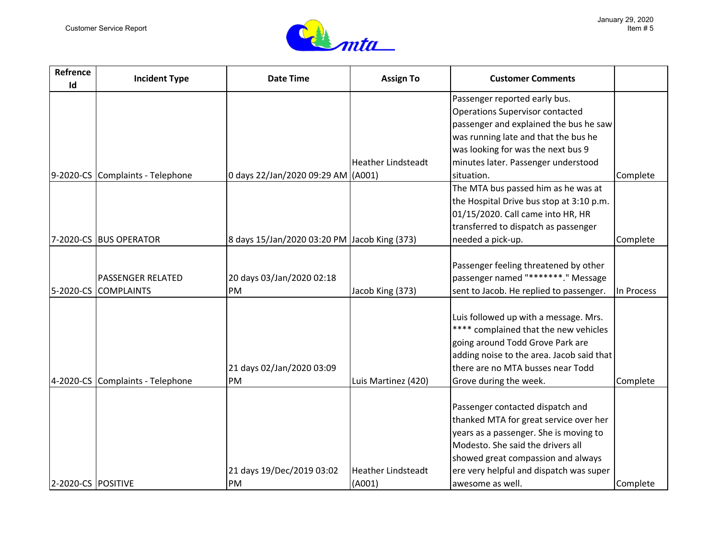

| Refrence<br>Id     | <b>Incident Type</b>             | <b>Date Time</b>                             | <b>Assign To</b>          | <b>Customer Comments</b>                  |            |
|--------------------|----------------------------------|----------------------------------------------|---------------------------|-------------------------------------------|------------|
|                    |                                  |                                              |                           | Passenger reported early bus.             |            |
|                    |                                  |                                              |                           | <b>Operations Supervisor contacted</b>    |            |
|                    |                                  |                                              |                           | passenger and explained the bus he saw    |            |
|                    |                                  |                                              |                           | was running late and that the bus he      |            |
|                    |                                  |                                              |                           | was looking for was the next bus 9        |            |
|                    |                                  |                                              | <b>Heather Lindsteadt</b> | minutes later. Passenger understood       |            |
| 9-2020-CS          | Complaints - Telephone           | 0 days 22/Jan/2020 09:29 AM (A001)           |                           | situation.                                | Complete   |
|                    |                                  |                                              |                           | The MTA bus passed him as he was at       |            |
|                    |                                  |                                              |                           | the Hospital Drive bus stop at 3:10 p.m.  |            |
|                    |                                  |                                              |                           | 01/15/2020. Call came into HR, HR         |            |
|                    |                                  |                                              |                           | transferred to dispatch as passenger      |            |
| 7-2020-CS          | <b>BUS OPERATOR</b>              | 8 days 15/Jan/2020 03:20 PM Jacob King (373) |                           | needed a pick-up.                         | Complete   |
|                    |                                  |                                              |                           |                                           |            |
|                    |                                  |                                              |                           | Passenger feeling threatened by other     |            |
|                    | <b>PASSENGER RELATED</b>         | 20 days 03/Jan/2020 02:18                    |                           | passenger named "********." Message       |            |
| 5-2020-CS          | <b>COMPLAINTS</b>                | PM                                           | Jacob King (373)          | sent to Jacob. He replied to passenger.   | In Process |
|                    |                                  |                                              |                           |                                           |            |
|                    |                                  |                                              |                           | Luis followed up with a message. Mrs.     |            |
|                    |                                  |                                              |                           | **** complained that the new vehicles     |            |
|                    |                                  |                                              |                           | going around Todd Grove Park are          |            |
|                    |                                  |                                              |                           | adding noise to the area. Jacob said that |            |
|                    |                                  | 21 days 02/Jan/2020 03:09                    |                           | there are no MTA busses near Todd         |            |
|                    | 4-2020-CS Complaints - Telephone | PM                                           | Luis Martinez (420)       | Grove during the week.                    | Complete   |
|                    |                                  |                                              |                           |                                           |            |
|                    |                                  |                                              |                           | Passenger contacted dispatch and          |            |
|                    |                                  |                                              |                           | thanked MTA for great service over her    |            |
|                    |                                  |                                              |                           | years as a passenger. She is moving to    |            |
|                    |                                  |                                              |                           | Modesto. She said the drivers all         |            |
|                    |                                  |                                              |                           | showed great compassion and always        |            |
|                    |                                  | 21 days 19/Dec/2019 03:02                    | <b>Heather Lindsteadt</b> | ere very helpful and dispatch was super   |            |
| 2-2020-CS POSITIVE |                                  | PM                                           | (A001)                    | awesome as well.                          | Complete   |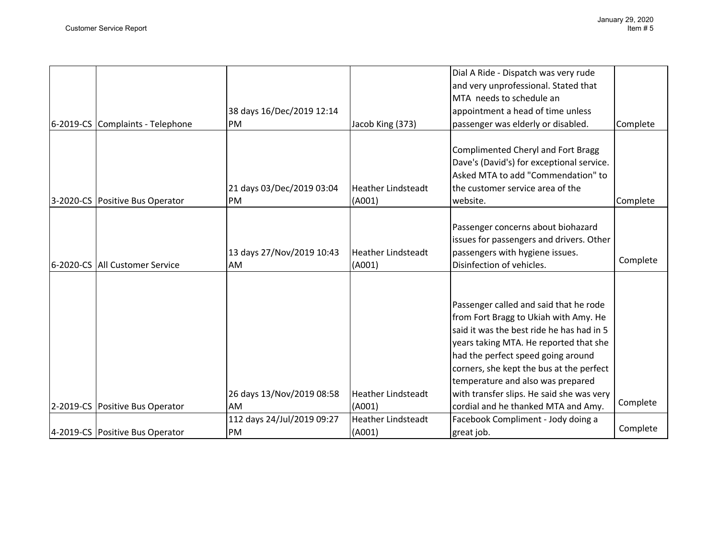|                                  | 38 days 16/Dec/2019 12:14       |                                     | Dial A Ride - Dispatch was very rude<br>and very unprofessional. Stated that<br>MTA needs to schedule an<br>appointment a head of time unless                                                                                                                                                                                                                                     |          |
|----------------------------------|---------------------------------|-------------------------------------|-----------------------------------------------------------------------------------------------------------------------------------------------------------------------------------------------------------------------------------------------------------------------------------------------------------------------------------------------------------------------------------|----------|
| 6-2019-CS Complaints - Telephone | PM                              | Jacob King (373)                    | passenger was elderly or disabled.                                                                                                                                                                                                                                                                                                                                                | Complete |
| 3-2020-CS Positive Bus Operator  | 21 days 03/Dec/2019 03:04<br>PM | <b>Heather Lindsteadt</b><br>(A001) | Complimented Cheryl and Fort Bragg<br>Dave's (David's) for exceptional service.<br>Asked MTA to add "Commendation" to<br>the customer service area of the<br>website.                                                                                                                                                                                                             | Complete |
| 6-2020-CS All Customer Service   | 13 days 27/Nov/2019 10:43<br>AM | <b>Heather Lindsteadt</b><br>(A001) | Passenger concerns about biohazard<br>issues for passengers and drivers. Other<br>passengers with hygiene issues.<br>Disinfection of vehicles.                                                                                                                                                                                                                                    | Complete |
| 2-2019-CS Positive Bus Operator  | 26 days 13/Nov/2019 08:58<br>AM | <b>Heather Lindsteadt</b><br>(A001) | Passenger called and said that he rode<br>from Fort Bragg to Ukiah with Amy. He<br>said it was the best ride he has had in 5<br>years taking MTA. He reported that she<br>had the perfect speed going around<br>corners, she kept the bus at the perfect<br>temperature and also was prepared<br>with transfer slips. He said she was very<br>cordial and he thanked MTA and Amy. | Complete |
|                                  | 112 days 24/Jul/2019 09:27      | <b>Heather Lindsteadt</b>           | Facebook Compliment - Jody doing a                                                                                                                                                                                                                                                                                                                                                | Complete |
| 4-2019-CS Positive Bus Operator  | PM                              | (A001)                              | great job.                                                                                                                                                                                                                                                                                                                                                                        |          |